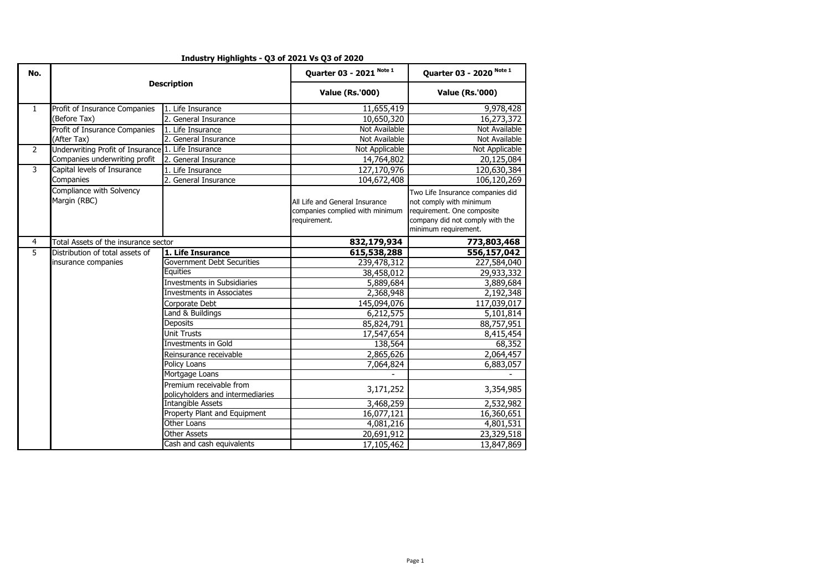| No.            |                                                    |                                                             | Quarter 03 - 2021 Note 1                                                          | Quarter 03 - 2020 Note 1                                                                                                                             |  |
|----------------|----------------------------------------------------|-------------------------------------------------------------|-----------------------------------------------------------------------------------|------------------------------------------------------------------------------------------------------------------------------------------------------|--|
|                |                                                    | <b>Description</b>                                          | <b>Value (Rs.'000)</b>                                                            | <b>Value (Rs.'000)</b>                                                                                                                               |  |
| $\mathbf{1}$   | Profit of Insurance Companies                      | 1. Life Insurance                                           | 11,655,419                                                                        | 9,978,428                                                                                                                                            |  |
|                | (Before Tax)                                       | 2. General Insurance                                        | 10,650,320                                                                        | 16,273,372                                                                                                                                           |  |
|                | Profit of Insurance Companies                      | 1. Life Insurance                                           | Not Available                                                                     | Not Available                                                                                                                                        |  |
|                | (After Tax)                                        | 2. General Insurance                                        | Not Available                                                                     | Not Available                                                                                                                                        |  |
| $\overline{2}$ | Underwriting Profit of Insurance 1. Life Insurance |                                                             | Not Applicable                                                                    | Not Applicable                                                                                                                                       |  |
|                | Companies underwriting profit                      | 2. General Insurance                                        | 14,764,802                                                                        | 20,125,084                                                                                                                                           |  |
| 3              | Capital levels of Insurance                        | 1. Life Insurance                                           | 127,170,976                                                                       | 120,630,384                                                                                                                                          |  |
|                | Companies                                          | 2. General Insurance                                        | 104,672,408                                                                       | 106,120,269                                                                                                                                          |  |
|                | Compliance with Solvency<br>Margin (RBC)           |                                                             | All Life and General Insurance<br>companies complied with minimum<br>requirement. | Two Life Insurance companies did<br>not comply with minimum<br>requirement. One composite<br>company did not comply with the<br>minimum requirement. |  |
| 4              | Total Assets of the insurance sector               |                                                             | 832,179,934                                                                       | 773,803,468                                                                                                                                          |  |
| $\overline{5}$ | Distribution of total assets of                    | 1. Life Insurance                                           | 615,538,288                                                                       | 556,157,042                                                                                                                                          |  |
|                | insurance companies                                | Government Debt Securities                                  | 239,478,312                                                                       | 227,584,040                                                                                                                                          |  |
|                |                                                    | Equities                                                    | 38,458,012                                                                        | 29,933,332                                                                                                                                           |  |
|                |                                                    | <b>Investments in Subsidiaries</b>                          | 5,889,684                                                                         | 3,889,684                                                                                                                                            |  |
|                |                                                    | Investments in Associates                                   | 2,368,948                                                                         | 2,192,348                                                                                                                                            |  |
|                |                                                    | Corporate Debt                                              | 145,094,076                                                                       | 117,039,017                                                                                                                                          |  |
|                |                                                    | Land & Buildings                                            | 6,212,575                                                                         | 5,101,814                                                                                                                                            |  |
|                |                                                    | <b>Deposits</b>                                             | 85,824,791                                                                        | 88,757,951                                                                                                                                           |  |
|                |                                                    | <b>Unit Trusts</b>                                          | 17,547,654                                                                        | 8,415,454                                                                                                                                            |  |
|                |                                                    | Investments in Gold                                         | 138,564                                                                           | 68,352                                                                                                                                               |  |
|                |                                                    | Reinsurance receivable                                      | 2,865,626                                                                         | 2,064,457                                                                                                                                            |  |
|                |                                                    | Policy Loans                                                | 7,064,824                                                                         | 6,883,057                                                                                                                                            |  |
|                |                                                    | Mortgage Loans                                              |                                                                                   |                                                                                                                                                      |  |
|                |                                                    | Premium receivable from<br>policyholders and intermediaries | 3,171,252                                                                         | 3,354,985                                                                                                                                            |  |
|                |                                                    | <b>Intangible Assets</b>                                    | 3,468,259                                                                         | 2,532,982                                                                                                                                            |  |
|                |                                                    | Property Plant and Equipment                                | 16,077,121                                                                        | 16,360,651                                                                                                                                           |  |
|                |                                                    | Other Loans                                                 | 4,081,216                                                                         | 4,801,531                                                                                                                                            |  |
|                |                                                    | <b>Other Assets</b>                                         | 20,691,912                                                                        | 23,329,518                                                                                                                                           |  |
|                |                                                    | Cash and cash equivalents                                   | 17,105,462                                                                        | 13,847,869                                                                                                                                           |  |

## **Industry Highlights - Q3 of 2021 Vs Q3 of 2020**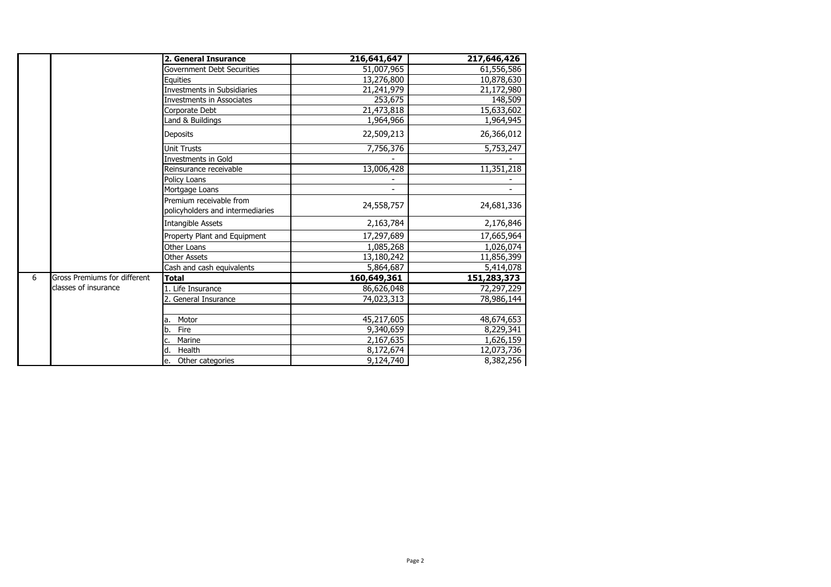|   |                              | 2. General Insurance                                        | 216,641,647 | 217,646,426 |
|---|------------------------------|-------------------------------------------------------------|-------------|-------------|
|   |                              | Government Debt Securities                                  | 51,007,965  | 61,556,586  |
|   |                              | Equities                                                    | 13,276,800  | 10,878,630  |
|   |                              | <b>Investments in Subsidiaries</b>                          | 21,241,979  | 21,172,980  |
|   |                              | <b>Investments in Associates</b>                            | 253,675     | 148,509     |
|   |                              | Corporate Debt                                              | 21,473,818  | 15,633,602  |
|   |                              | Land & Buildings                                            | 1,964,966   | 1,964,945   |
|   |                              | <b>Deposits</b>                                             | 22,509,213  | 26,366,012  |
|   |                              | <b>Unit Trusts</b>                                          | 7,756,376   | 5,753,247   |
|   |                              | <b>Investments in Gold</b>                                  |             |             |
|   |                              | Reinsurance receivable                                      | 13,006,428  | 11,351,218  |
|   |                              | Policy Loans                                                |             |             |
|   |                              | Mortgage Loans                                              |             |             |
|   |                              | Premium receivable from<br>policyholders and intermediaries | 24,558,757  | 24,681,336  |
|   |                              | <b>Intangible Assets</b>                                    | 2,163,784   | 2,176,846   |
|   |                              | Property Plant and Equipment                                | 17,297,689  | 17,665,964  |
|   |                              | Other Loans                                                 | 1,085,268   | 1,026,074   |
|   |                              | <b>Other Assets</b>                                         | 13,180,242  | 11,856,399  |
|   |                              | Cash and cash equivalents                                   | 5,864,687   | 5,414,078   |
| 6 | Gross Premiums for different | <b>Total</b>                                                | 160,649,361 | 151,283,373 |
|   | classes of insurance         | 1. Life Insurance                                           | 86,626,048  | 72,297,229  |
|   |                              | 2. General Insurance                                        | 74,023,313  | 78,986,144  |
|   |                              |                                                             |             |             |
|   |                              | Motor<br>la.                                                | 45,217,605  | 48,674,653  |
|   |                              | Fire<br>b.                                                  | 9,340,659   | 8,229,341   |
|   |                              | Marine                                                      | 2,167,635   | 1,626,159   |
|   |                              | Health<br>ld.                                               | 8,172,674   | 12,073,736  |
|   |                              | Other categories<br>e.                                      | 9,124,740   | 8,382,256   |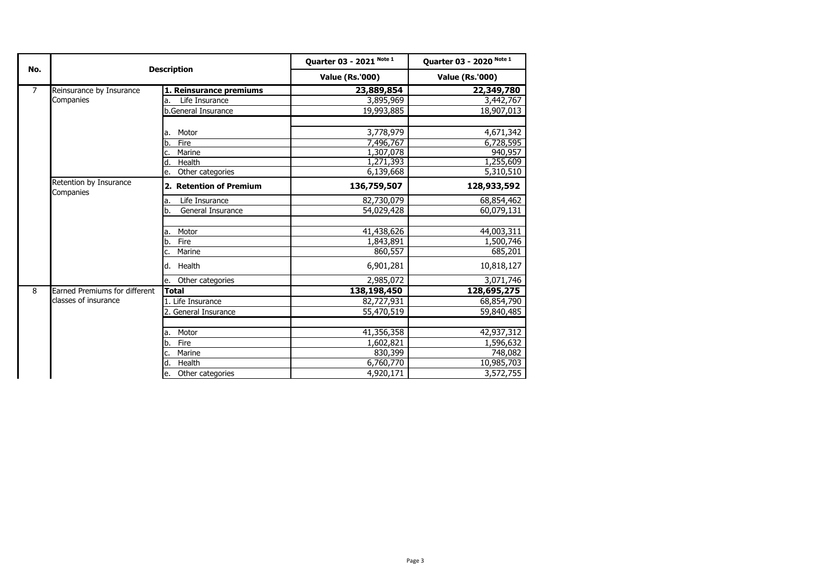| No.            | <b>Description</b>                  |                         | Quarter 03 - 2021 Note 1 | Quarter 03 - 2020 Note 1<br><b>Value (Rs.'000)</b> |  |
|----------------|-------------------------------------|-------------------------|--------------------------|----------------------------------------------------|--|
|                |                                     |                         | <b>Value (Rs.'000)</b>   |                                                    |  |
| $\overline{7}$ | Reinsurance by Insurance            | 1. Reinsurance premiums | 23,889,854               | 22,349,780                                         |  |
|                | Companies                           | Life Insurance<br>a.    | 3,895,969                | 3,442,767                                          |  |
|                |                                     | b.General Insurance     | 19,993,885               | 18,907,013                                         |  |
|                |                                     | Motor<br>a.             | 3,778,979                | 4,671,342                                          |  |
|                |                                     | Fire<br>b.              | 7,496,767                | 6,728,595                                          |  |
|                |                                     | Marine<br>c.            | 1,307,078                | 940,957                                            |  |
|                |                                     | Health<br>d             | 1,271,393                | 1,255,609                                          |  |
|                |                                     | Other categories<br>e.  | 6,139,668                | 5,310,510                                          |  |
|                | Retention by Insurance<br>Companies | 2. Retention of Premium | 136,759,507              | 128,933,592                                        |  |
|                |                                     | Life Insurance<br>a.    | 82,730,079               | 68,854,462                                         |  |
|                |                                     | General Insurance<br>b. | 54,029,428               | 60,079,131                                         |  |
|                |                                     |                         |                          |                                                    |  |
|                |                                     | Motor<br>a.             | 41,438,626               | 44,003,311                                         |  |
|                |                                     | Fire<br>b.              | 1,843,891                | 1,500,746                                          |  |
|                |                                     | Marine<br>c.            | 860,557                  | 685,201                                            |  |
|                |                                     | d. Health               | 6,901,281                | 10,818,127                                         |  |
|                |                                     | Other categories<br>e.  | 2,985,072                | 3,071,746                                          |  |
| 8              | Earned Premiums for different       | <b>Total</b>            | 138,198,450              | 128,695,275                                        |  |
|                | classes of insurance                | 1. Life Insurance       | 82,727,931               | 68,854,790                                         |  |
|                |                                     | 2. General Insurance    | 55,470,519               | 59,840,485                                         |  |
|                |                                     |                         |                          |                                                    |  |
|                |                                     | Motor<br>a.             | 41,356,358               | 42,937,312                                         |  |
|                |                                     | Fire<br>b.              | 1,602,821                | 1,596,632                                          |  |
|                |                                     | Marine<br>c.            | 830,399                  | 748,082                                            |  |
|                |                                     | d.<br>Health            | 6,760,770                | 10,985,703                                         |  |
|                |                                     | Other categories<br>e.  | 4,920,171                | 3,572,755                                          |  |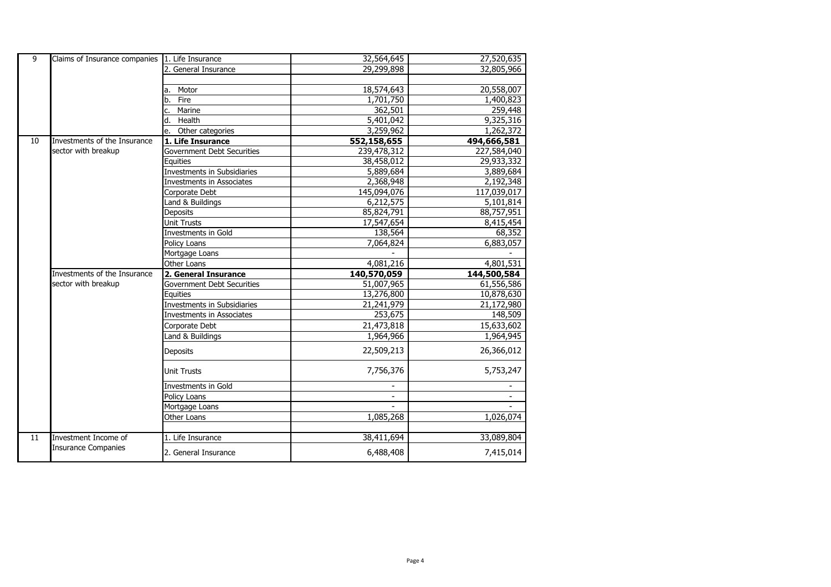|    | Claims of Insurance companies 1. Life Insurance |                                    |                         |                         |
|----|-------------------------------------------------|------------------------------------|-------------------------|-------------------------|
| 9  |                                                 |                                    | 32,564,645              | 27,520,635              |
|    |                                                 | General Insurance                  | 29,299,898              | 32,805,966              |
|    |                                                 |                                    |                         |                         |
|    |                                                 | Motor<br>a.                        | 18,574,643              | 20,558,007              |
|    |                                                 | Fire<br>b.                         | 1,701,750               | 1,400,823               |
|    |                                                 | Marine<br>c.                       | 362,501                 | 259,448                 |
|    |                                                 | Health<br>d.                       | 5,401,042               | 9,325,316               |
|    |                                                 | Other categories<br>e.             | 3,259,962               | 1,262,372               |
| 10 | Investments of the Insurance                    | 1. Life Insurance                  | 552,158,655             | 494,666,581             |
|    | sector with breakup                             | Government Debt Securities         | 239,478,312             | 227,584,040             |
|    |                                                 | Equities                           | 38,458,012              | 29,933,332              |
|    |                                                 | <b>Investments in Subsidiaries</b> | 5,889,684               | 3,889,684               |
|    |                                                 | Investments in Associates          | 2,368,948               | 2,192,348               |
|    |                                                 | Corporate Debt                     | 145,094,076             | 117,039,017             |
|    |                                                 | Land & Buildings                   | 6,212,575               | 5,101,814               |
|    |                                                 | Deposits                           | 85,824,791              | 88,757,951              |
|    |                                                 | <b>Unit Trusts</b>                 | 17,547,654              | 8,415,454               |
|    |                                                 | Investments in Gold                | 138,564                 | 68,352                  |
|    |                                                 | Policy Loans                       | 7,064,824               | 6,883,057               |
|    |                                                 | Mortgage Loans                     |                         |                         |
|    |                                                 | Other Loans                        | 4,081,216               | 4,801,531               |
|    |                                                 |                                    |                         |                         |
|    | Investments of the Insurance                    | 2. General Insurance               | 140,570,059             | 144,500,584             |
|    | sector with breakup                             | Government Debt Securities         | 51,007,965              | 61,556,586              |
|    |                                                 | Equities                           | 13,276,800              | 10,878,630              |
|    |                                                 | Investments in Subsidiaries        | 21,241,979              | 21,172,980              |
|    |                                                 | <b>Investments in Associates</b>   | 253,675                 | 148,509                 |
|    |                                                 |                                    |                         |                         |
|    |                                                 | Corporate Debt<br>Land & Buildings | 21,473,818<br>1,964,966 | 15,633,602<br>1,964,945 |
|    |                                                 | <b>Deposits</b>                    | 22,509,213              | 26,366,012              |
|    |                                                 | <b>Unit Trusts</b>                 | 7,756,376               | 5,753,247               |
|    |                                                 | Investments in Gold                |                         |                         |
|    |                                                 | Policy Loans                       |                         |                         |
|    |                                                 | Mortgage Loans                     |                         |                         |
|    |                                                 | Other Loans                        | 1,085,268               |                         |
|    |                                                 |                                    |                         | 1,026,074               |
| 11 | Investment Income of                            | 1. Life Insurance                  | 38,411,694              | 33,089,804              |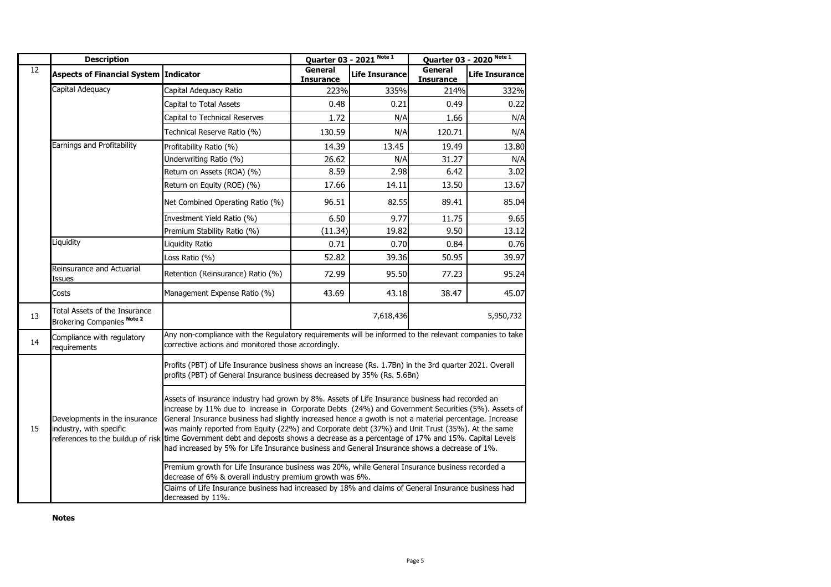|                                                                                                                                                                                                                                                                                                                                                                                                                                                                                                                                                                                                                                                                                                                              | <b>Description</b>                                          |                                                                                                                                                                                     |                             | Quarter 03 - 2021 Note 1 |                             | Quarter 03 - 2020 Note 1 |
|------------------------------------------------------------------------------------------------------------------------------------------------------------------------------------------------------------------------------------------------------------------------------------------------------------------------------------------------------------------------------------------------------------------------------------------------------------------------------------------------------------------------------------------------------------------------------------------------------------------------------------------------------------------------------------------------------------------------------|-------------------------------------------------------------|-------------------------------------------------------------------------------------------------------------------------------------------------------------------------------------|-----------------------------|--------------------------|-----------------------------|--------------------------|
| $\overline{12}$                                                                                                                                                                                                                                                                                                                                                                                                                                                                                                                                                                                                                                                                                                              | Aspects of Financial System Indicator                       |                                                                                                                                                                                     | General<br><b>Insurance</b> | <b>Life Insurance</b>    | General<br><b>Insurance</b> | <b>Life Insurance</b>    |
|                                                                                                                                                                                                                                                                                                                                                                                                                                                                                                                                                                                                                                                                                                                              | Capital Adequacy                                            | Capital Adequacy Ratio                                                                                                                                                              | 223%                        | 335%                     | 214%                        | 332%                     |
|                                                                                                                                                                                                                                                                                                                                                                                                                                                                                                                                                                                                                                                                                                                              |                                                             | Capital to Total Assets                                                                                                                                                             | 0.48                        | 0.21                     | 0.49                        | 0.22                     |
|                                                                                                                                                                                                                                                                                                                                                                                                                                                                                                                                                                                                                                                                                                                              |                                                             | Capital to Technical Reserves                                                                                                                                                       | 1.72                        | N/A                      | 1.66                        | N/A                      |
|                                                                                                                                                                                                                                                                                                                                                                                                                                                                                                                                                                                                                                                                                                                              |                                                             | Technical Reserve Ratio (%)                                                                                                                                                         | 130.59                      | N/A                      | 120.71                      | N/A                      |
|                                                                                                                                                                                                                                                                                                                                                                                                                                                                                                                                                                                                                                                                                                                              | Earnings and Profitability                                  | Profitability Ratio (%)                                                                                                                                                             | 14.39                       | 13.45                    | 19.49                       | 13.80                    |
|                                                                                                                                                                                                                                                                                                                                                                                                                                                                                                                                                                                                                                                                                                                              |                                                             | Underwriting Ratio (%)                                                                                                                                                              | 26.62                       | N/A                      | 31.27                       | N/A                      |
|                                                                                                                                                                                                                                                                                                                                                                                                                                                                                                                                                                                                                                                                                                                              |                                                             | Return on Assets (ROA) (%)                                                                                                                                                          | 8.59                        | 2.98                     | 6.42                        | 3.02                     |
|                                                                                                                                                                                                                                                                                                                                                                                                                                                                                                                                                                                                                                                                                                                              |                                                             | Return on Equity (ROE) (%)                                                                                                                                                          | 17.66                       | 14.11                    | 13.50                       | 13.67                    |
|                                                                                                                                                                                                                                                                                                                                                                                                                                                                                                                                                                                                                                                                                                                              |                                                             | Net Combined Operating Ratio (%)                                                                                                                                                    | 96.51                       | 82.55                    | 89.41                       | 85.04                    |
|                                                                                                                                                                                                                                                                                                                                                                                                                                                                                                                                                                                                                                                                                                                              |                                                             | Investment Yield Ratio (%)                                                                                                                                                          | 6.50                        | 9.77                     | 11.75                       | 9.65                     |
|                                                                                                                                                                                                                                                                                                                                                                                                                                                                                                                                                                                                                                                                                                                              |                                                             | Premium Stability Ratio (%)                                                                                                                                                         | (11.34)                     | 19.82                    | 9.50                        | 13.12                    |
|                                                                                                                                                                                                                                                                                                                                                                                                                                                                                                                                                                                                                                                                                                                              | Liquidity                                                   | <b>Liquidity Ratio</b>                                                                                                                                                              | 0.71                        | 0.70                     | 0.84                        | 0.76                     |
|                                                                                                                                                                                                                                                                                                                                                                                                                                                                                                                                                                                                                                                                                                                              |                                                             | Loss Ratio (%)                                                                                                                                                                      | 52.82                       | 39.36                    | 50.95                       | 39.97                    |
|                                                                                                                                                                                                                                                                                                                                                                                                                                                                                                                                                                                                                                                                                                                              | Reinsurance and Actuarial<br>Issues                         | Retention (Reinsurance) Ratio (%)                                                                                                                                                   | 72.99                       | 95.50                    | 77.23                       | 95.24                    |
|                                                                                                                                                                                                                                                                                                                                                                                                                                                                                                                                                                                                                                                                                                                              | Costs                                                       | Management Expense Ratio (%)                                                                                                                                                        | 43.69                       | 43.18                    | 38.47                       | 45.07                    |
| 13                                                                                                                                                                                                                                                                                                                                                                                                                                                                                                                                                                                                                                                                                                                           | Total Assets of the Insurance<br>Brokering Companies Note 2 | 7,618,436<br>5,950,732                                                                                                                                                              |                             |                          |                             |                          |
| 14                                                                                                                                                                                                                                                                                                                                                                                                                                                                                                                                                                                                                                                                                                                           | Compliance with regulatory<br>requirements                  | Any non-compliance with the Regulatory requirements will be informed to the relevant companies to take<br>corrective actions and monitored those accordingly.                       |                             |                          |                             |                          |
|                                                                                                                                                                                                                                                                                                                                                                                                                                                                                                                                                                                                                                                                                                                              |                                                             | Profits (PBT) of Life Insurance business shows an increase (Rs. 1.7Bn) in the 3rd quarter 2021. Overall<br>profits (PBT) of General Insurance business decreased by 35% (Rs. 5.6Bn) |                             |                          |                             |                          |
| Assets of insurance industry had grown by 8%. Assets of Life Insurance business had recorded an<br>increase by 11% due to increase in Corporate Debts (24%) and Government Securities (5%). Assets of<br>General Insurance business had slightly increased hence a gwoth is not a material percentage. Increase<br>Developments in the insurance<br>was mainly reported from Equity (22%) and Corporate debt (37%) and Unit Trust (35%). At the same<br>15<br>industry, with specific<br>references to the buildup of risk time Government debt and deposts shows a decrease as a percentage of 17% and 15%. Capital Levels<br>had increased by 5% for Life Insurance business and General Insurance shows a decrease of 1%. |                                                             |                                                                                                                                                                                     |                             |                          |                             |                          |
|                                                                                                                                                                                                                                                                                                                                                                                                                                                                                                                                                                                                                                                                                                                              |                                                             | Premium growth for Life Insurance business was 20%, while General Insurance business recorded a<br>decrease of 6% & overall industry premium growth was 6%.                         |                             |                          |                             |                          |
|                                                                                                                                                                                                                                                                                                                                                                                                                                                                                                                                                                                                                                                                                                                              |                                                             | Claims of Life Insurance business had increased by 18% and claims of General Insurance business had<br>decreased by 11%.                                                            |                             |                          |                             |                          |

**Notes**